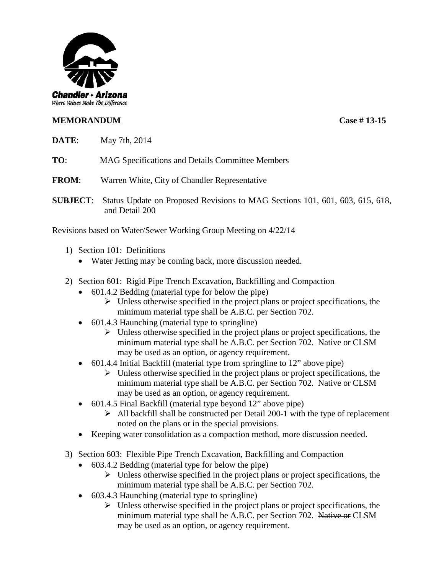

## **MEMORANDUM Case # 13-15**

**DATE**: May 7th, 2014

**TO**: MAG Specifications and Details Committee Members

**FROM**: Warren White, City of Chandler Representative

**SUBJECT**: Status Update on Proposed Revisions to MAG Sections 101, 601, 603, 615, 618, and Detail 200

Revisions based on Water/Sewer Working Group Meeting on 4/22/14

- 1) Section 101: Definitions
	- Water Jetting may be coming back, more discussion needed.
- 2) Section 601: Rigid Pipe Trench Excavation, Backfilling and Compaction
	- 601.4.2 Bedding (material type for below the pipe)
		- $\triangleright$  Unless otherwise specified in the project plans or project specifications, the minimum material type shall be A.B.C. per Section 702.
	- 601.4.3 Haunching (material type to springline)
		- $\triangleright$  Unless otherwise specified in the project plans or project specifications, the minimum material type shall be A.B.C. per Section 702. Native or CLSM may be used as an option, or agency requirement.
	- 601.4.4 Initial Backfill (material type from springline to 12" above pipe)
		- $\triangleright$  Unless otherwise specified in the project plans or project specifications, the minimum material type shall be A.B.C. per Section 702. Native or CLSM may be used as an option, or agency requirement.
	- 601.4.5 Final Backfill (material type beyond 12" above pipe)
		- $\triangleright$  All backfill shall be constructed per Detail 200-1 with the type of replacement noted on the plans or in the special provisions.
	- Keeping water consolidation as a compaction method, more discussion needed.
- 3) Section 603: Flexible Pipe Trench Excavation, Backfilling and Compaction
	- 603.4.2 Bedding (material type for below the pipe)
		- $\triangleright$  Unless otherwise specified in the project plans or project specifications, the minimum material type shall be A.B.C. per Section 702.
	- 603.4.3 Haunching (material type to springline)
		- $\triangleright$  Unless otherwise specified in the project plans or project specifications, the minimum material type shall be A.B.C. per Section 702. Native or CLSM may be used as an option, or agency requirement.